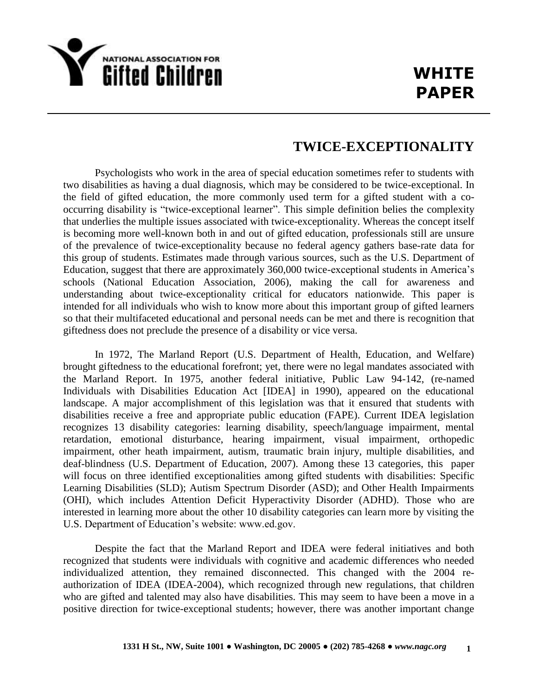

## **TWICE-EXCEPTIONALITY**

Psychologists who work in the area of special education sometimes refer to students with two disabilities as having a dual diagnosis, which may be considered to be twice-exceptional. In the field of gifted education, the more commonly used term for a gifted student with a cooccurring disability is "twice-exceptional learner". This simple definition belies the complexity that underlies the multiple issues associated with twice-exceptionality. Whereas the concept itself is becoming more well-known both in and out of gifted education, professionals still are unsure of the prevalence of twice-exceptionality because no federal agency gathers base-rate data for this group of students. Estimates made through various sources, such as the U.S. Department of Education, suggest that there are approximately 360,000 twice-exceptional students in America's schools (National Education Association, 2006), making the call for awareness and understanding about twice-exceptionality critical for educators nationwide. This paper is intended for all individuals who wish to know more about this important group of gifted learners so that their multifaceted educational and personal needs can be met and there is recognition that giftedness does not preclude the presence of a disability or vice versa.

In 1972, The Marland Report (U.S. Department of Health, Education, and Welfare) brought giftedness to the educational forefront; yet, there were no legal mandates associated with the Marland Report. In 1975, another federal initiative, Public Law 94-142, (re-named Individuals with Disabilities Education Act [IDEA] in 1990), appeared on the educational landscape. A major accomplishment of this legislation was that it ensured that students with disabilities receive a free and appropriate public education (FAPE). Current IDEA legislation recognizes 13 disability categories: learning disability, speech/language impairment, mental retardation, emotional disturbance, hearing impairment, visual impairment, orthopedic impairment, other heath impairment, autism, traumatic brain injury, multiple disabilities, and deaf-blindness (U.S. Department of Education, 2007). Among these 13 categories, this paper will focus on three identified exceptionalities among gifted students with disabilities: Specific Learning Disabilities (SLD); Autism Spectrum Disorder (ASD); and Other Health Impairments (OHI), which includes Attention Deficit Hyperactivity Disorder (ADHD). Those who are interested in learning more about the other 10 disability categories can learn more by visiting the U.S. Department of Education's website: www.ed.gov.

Despite the fact that the Marland Report and IDEA were federal initiatives and both recognized that students were individuals with cognitive and academic differences who needed individualized attention, they remained disconnected. This changed with the 2004 reauthorization of IDEA (IDEA-2004), which recognized through new regulations, that children who are gifted and talented may also have disabilities. This may seem to have been a move in a positive direction for twice-exceptional students; however, there was another important change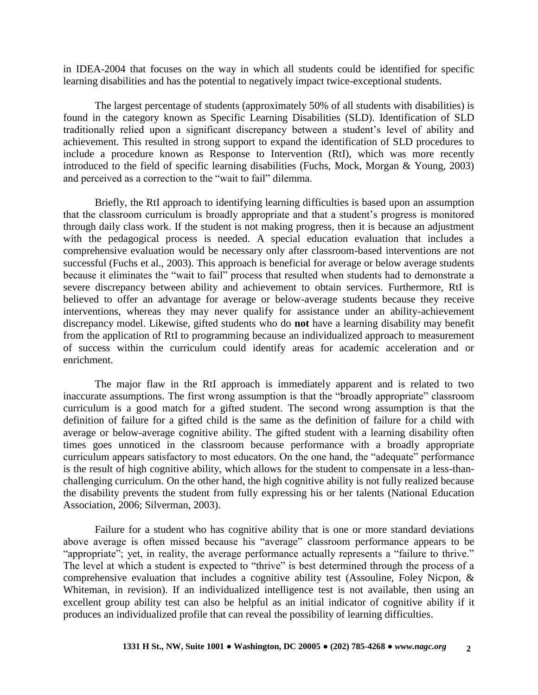in IDEA-2004 that focuses on the way in which all students could be identified for specific learning disabilities and has the potential to negatively impact twice-exceptional students.

The largest percentage of students (approximately 50% of all students with disabilities) is found in the category known as Specific Learning Disabilities (SLD). Identification of SLD traditionally relied upon a significant discrepancy between a student's level of ability and achievement. This resulted in strong support to expand the identification of SLD procedures to include a procedure known as Response to Intervention (RtI), which was more recently introduced to the field of specific learning disabilities (Fuchs, Mock, Morgan & Young, 2003) and perceived as a correction to the "wait to fail" dilemma.

Briefly, the RtI approach to identifying learning difficulties is based upon an assumption that the classroom curriculum is broadly appropriate and that a student's progress is monitored through daily class work. If the student is not making progress, then it is because an adjustment with the pedagogical process is needed. A special education evaluation that includes a comprehensive evaluation would be necessary only after classroom-based interventions are not successful (Fuchs et al., 2003). This approach is beneficial for average or below average students because it eliminates the "wait to fail" process that resulted when students had to demonstrate a severe discrepancy between ability and achievement to obtain services. Furthermore, RtI is believed to offer an advantage for average or below-average students because they receive interventions, whereas they may never qualify for assistance under an ability-achievement discrepancy model. Likewise, gifted students who do **not** have a learning disability may benefit from the application of RtI to programming because an individualized approach to measurement of success within the curriculum could identify areas for academic acceleration and or enrichment.

The major flaw in the RtI approach is immediately apparent and is related to two inaccurate assumptions. The first wrong assumption is that the "broadly appropriate" classroom curriculum is a good match for a gifted student. The second wrong assumption is that the definition of failure for a gifted child is the same as the definition of failure for a child with average or below-average cognitive ability. The gifted student with a learning disability often times goes unnoticed in the classroom because performance with a broadly appropriate curriculum appears satisfactory to most educators. On the one hand, the "adequate" performance is the result of high cognitive ability, which allows for the student to compensate in a less-thanchallenging curriculum. On the other hand, the high cognitive ability is not fully realized because the disability prevents the student from fully expressing his or her talents (National Education Association, 2006; Silverman, 2003).

Failure for a student who has cognitive ability that is one or more standard deviations above average is often missed because his "average" classroom performance appears to be "appropriate"; yet, in reality, the average performance actually represents a "failure to thrive." The level at which a student is expected to "thrive" is best determined through the process of a comprehensive evaluation that includes a cognitive ability test (Assouline, Foley Nicpon, & Whiteman, in revision). If an individualized intelligence test is not available, then using an excellent group ability test can also be helpful as an initial indicator of cognitive ability if it produces an individualized profile that can reveal the possibility of learning difficulties.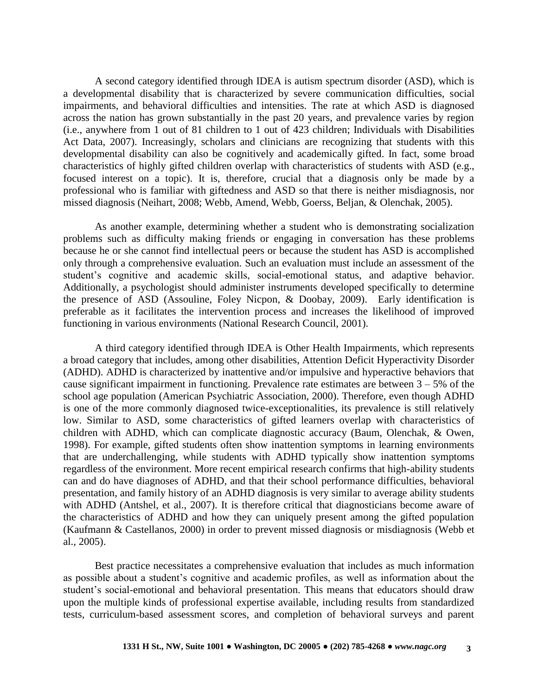A second category identified through IDEA is autism spectrum disorder (ASD), which is a developmental disability that is characterized by severe communication difficulties, social impairments, and behavioral difficulties and intensities. The rate at which ASD is diagnosed across the nation has grown substantially in the past 20 years, and prevalence varies by region (i.e., anywhere from 1 out of 81 children to 1 out of 423 children; Individuals with Disabilities Act Data, 2007). Increasingly, scholars and clinicians are recognizing that students with this developmental disability can also be cognitively and academically gifted. In fact, some broad characteristics of highly gifted children overlap with characteristics of students with ASD (e.g., focused interest on a topic). It is, therefore, crucial that a diagnosis only be made by a professional who is familiar with giftedness and ASD so that there is neither misdiagnosis, nor missed diagnosis (Neihart, 2008; Webb, Amend, Webb, Goerss, Beljan, & Olenchak, 2005).

As another example, determining whether a student who is demonstrating socialization problems such as difficulty making friends or engaging in conversation has these problems because he or she cannot find intellectual peers or because the student has ASD is accomplished only through a comprehensive evaluation. Such an evaluation must include an assessment of the student's cognitive and academic skills, social-emotional status, and adaptive behavior. Additionally, a psychologist should administer instruments developed specifically to determine the presence of ASD (Assouline, Foley Nicpon, & Doobay, 2009). Early identification is preferable as it facilitates the intervention process and increases the likelihood of improved functioning in various environments (National Research Council, 2001).

A third category identified through IDEA is Other Health Impairments, which represents a broad category that includes, among other disabilities, Attention Deficit Hyperactivity Disorder (ADHD). ADHD is characterized by inattentive and/or impulsive and hyperactive behaviors that cause significant impairment in functioning. Prevalence rate estimates are between  $3 - 5\%$  of the school age population (American Psychiatric Association, 2000). Therefore, even though ADHD is one of the more commonly diagnosed twice-exceptionalities, its prevalence is still relatively low. Similar to ASD, some characteristics of gifted learners overlap with characteristics of children with ADHD, which can complicate diagnostic accuracy (Baum, Olenchak, & Owen, 1998). For example, gifted students often show inattention symptoms in learning environments that are underchallenging, while students with ADHD typically show inattention symptoms regardless of the environment. More recent empirical research confirms that high-ability students can and do have diagnoses of ADHD, and that their school performance difficulties, behavioral presentation, and family history of an ADHD diagnosis is very similar to average ability students with ADHD (Antshel, et al., 2007). It is therefore critical that diagnosticians become aware of the characteristics of ADHD and how they can uniquely present among the gifted population (Kaufmann & Castellanos, 2000) in order to prevent missed diagnosis or misdiagnosis (Webb et al., 2005).

Best practice necessitates a comprehensive evaluation that includes as much information as possible about a student's cognitive and academic profiles, as well as information about the student's social-emotional and behavioral presentation. This means that educators should draw upon the multiple kinds of professional expertise available, including results from standardized tests, curriculum-based assessment scores, and completion of behavioral surveys and parent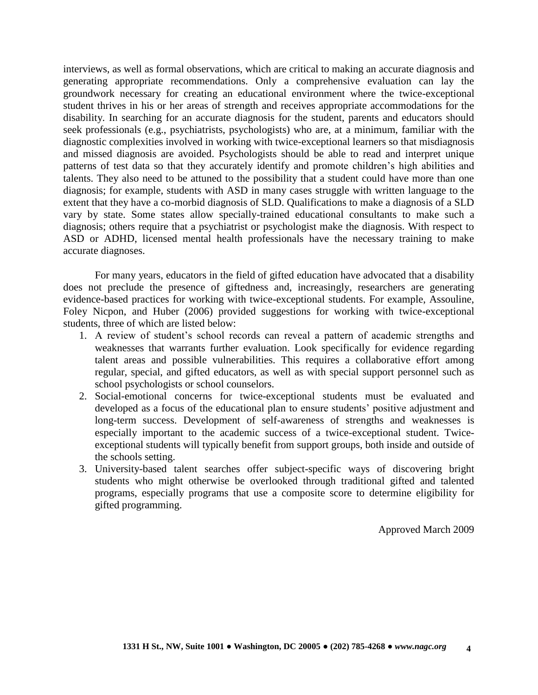interviews, as well as formal observations, which are critical to making an accurate diagnosis and generating appropriate recommendations. Only a comprehensive evaluation can lay the groundwork necessary for creating an educational environment where the twice-exceptional student thrives in his or her areas of strength and receives appropriate accommodations for the disability. In searching for an accurate diagnosis for the student, parents and educators should seek professionals (e.g., psychiatrists, psychologists) who are, at a minimum, familiar with the diagnostic complexities involved in working with twice-exceptional learners so that misdiagnosis and missed diagnosis are avoided. Psychologists should be able to read and interpret unique patterns of test data so that they accurately identify and promote children's high abilities and talents. They also need to be attuned to the possibility that a student could have more than one diagnosis; for example, students with ASD in many cases struggle with written language to the extent that they have a co-morbid diagnosis of SLD. Qualifications to make a diagnosis of a SLD vary by state. Some states allow specially-trained educational consultants to make such a diagnosis; others require that a psychiatrist or psychologist make the diagnosis. With respect to ASD or ADHD, licensed mental health professionals have the necessary training to make accurate diagnoses.

For many years, educators in the field of gifted education have advocated that a disability does not preclude the presence of giftedness and, increasingly, researchers are generating evidence-based practices for working with twice-exceptional students. For example, Assouline, Foley Nicpon, and Huber (2006) provided suggestions for working with twice-exceptional students, three of which are listed below:

- 1. A review of student's school records can reveal a pattern of academic strengths and weaknesses that warrants further evaluation. Look specifically for evidence regarding talent areas and possible vulnerabilities. This requires a collaborative effort among regular, special, and gifted educators, as well as with special support personnel such as school psychologists or school counselors.
- 2. Social-emotional concerns for twice-exceptional students must be evaluated and developed as a focus of the educational plan to ensure students' positive adjustment and long-term success. Development of self-awareness of strengths and weaknesses is especially important to the academic success of a twice-exceptional student. Twiceexceptional students will typically benefit from support groups, both inside and outside of the schools setting.
- 3. University-based talent searches offer subject-specific ways of discovering bright students who might otherwise be overlooked through traditional gifted and talented programs, especially programs that use a composite score to determine eligibility for gifted programming.

Approved March 2009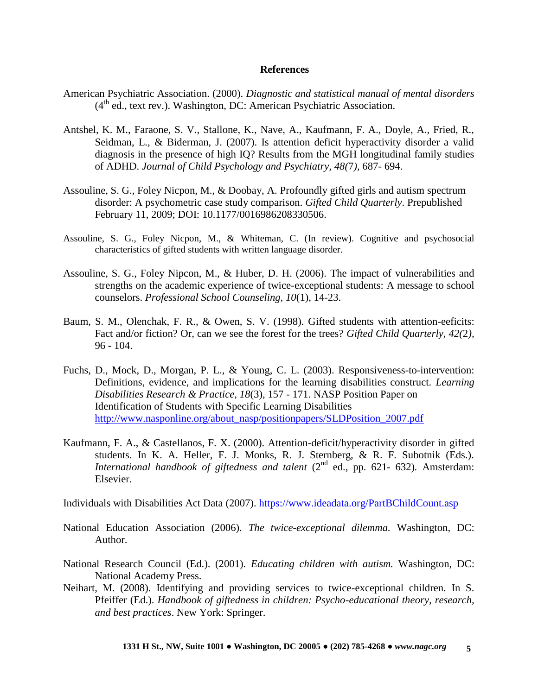## **References**

- American Psychiatric Association. (2000). *Diagnostic and statistical manual of mental disorders*  $(4<sup>th</sup>$  ed., text rev.). Washington, DC: American Psychiatric Association.
- Antshel, K. M., Faraone, S. V., Stallone, K., Nave, A., Kaufmann, F. A., Doyle, A., Fried, R., Seidman, L., & Biderman, J. (2007). Is attention deficit hyperactivity disorder a valid diagnosis in the presence of high IQ? Results from the MGH longitudinal family studies of ADHD. *Journal of Child Psychology and Psychiatry, 48(*7*),* 687- 694.
- Assouline, S. G., Foley Nicpon, M., & Doobay, A. Profoundly gifted girls and autism spectrum disorder: A psychometric case study comparison. *Gifted Child Quarterly*. Prepublished February 11, 2009; DOI: 10.1177/0016986208330506.
- Assouline, S. G., Foley Nicpon, M., & Whiteman, C. (In review). Cognitive and psychosocial characteristics of gifted students with written language disorder.
- Assouline, S. G., Foley Nipcon, M., & Huber, D. H. (2006). The impact of vulnerabilities and strengths on the academic experience of twice-exceptional students: A message to school counselors. *Professional School Counseling, 10*(1), 14-23.
- Baum, S. M., Olenchak, F. R., & Owen, S. V. (1998). Gifted students with attention-eeficits: Fact and/or fiction? Or, can we see the forest for the trees? *Gifted Child Quarterly, 42(*2*),* 96 - 104.
- Fuchs, D., Mock, D., Morgan, P. L., & Young, C. L. (2003). Responsiveness-to-intervention: Definitions, evidence, and implications for the learning disabilities construct. *Learning Disabilities Research & Practice, 18*(3), 157 - 171. NASP Position Paper on Identification of Students with Specific Learning Disabilities [http://www.nasponline.org/about\\_nasp/positionpapers/SLDPosition\\_2007.pdf](http://www.nasponline.org/about_nasp/positionpapers/SLDPosition_2007.pdf)
- Kaufmann, F. A., & Castellanos, F. X. (2000). Attention-deficit/hyperactivity disorder in gifted students. In K. A. Heller, F. J. Monks, R. J. Sternberg, & R. F. Subotnik (Eds.). *International handbook of giftedness and talent*  $(2^{nd}$  ed., pp. 621- 632). Amsterdam: Elsevier.

Individuals with Disabilities Act Data (2007).<https://www.ideadata.org/PartBChildCount.asp>

- National Education Association (2006). *The twice-exceptional dilemma.* Washington, DC: Author.
- National Research Council (Ed.). (2001). *Educating children with autism.* Washington, DC: National Academy Press.
- Neihart, M. (2008). Identifying and providing services to twice-exceptional children. In S. Pfeiffer (Ed.). *Handbook of giftedness in children: Psycho-educational theory, research, and best practices*. New York: Springer.